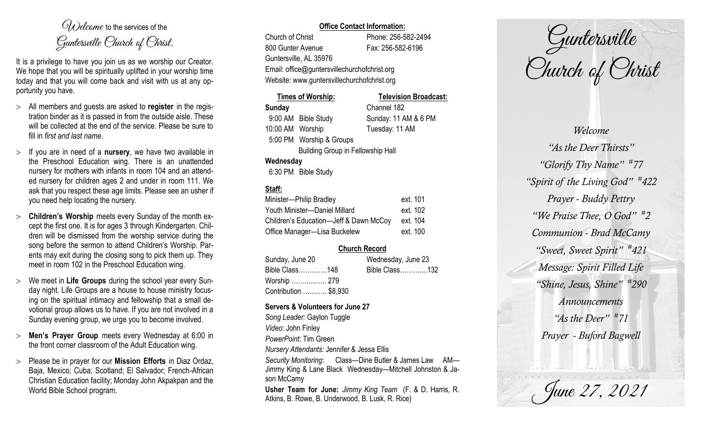$O(\lambda)$  elcame to the services of the Guntersville Church of Christ.

It is a privilege to have you join us as we worship our Creator. We hope that you will be spiritually uplifted in your worship time today and that you will come back and visit with us at any opportunity you have.

- All members and guests are asked to **register** in the registration binder as it is passed in from the outside aisle. These will be collected at the end of the service. Please be sure to fill in *first and last name*.
- $>$  If you are in need of a **nursery**, we have two available in the Preschool Education wing. There is an unattended nursery for mothers with infants in room 104 and an attended nursery for children ages 2 and under in room 111. We ask that you respect these age limits. Please see an usher if you need help locating the nursery.
- **Children's Worship** meets every Sunday of the month except the first one. It is for ages 3 through Kindergarten. Children will be dismissed from the worship service during the song before the sermon to attend Children's Worship. Parents may exit during the closing song to pick them up. They meet in room 102 in the Preschool Education wing.
- We meet in **Life Groups** during the school year every Sunday night. Life Groups are a house to house ministry focusing on the spiritual intimacy and fellowship that a small devotional group allows us to have. If you are not involved in a Sunday evening group, we urge you to become involved.
- **Men's Prayer Group** meets every Wednesday at 6:00 in the front corner classroom of the Adult Education wing.
- Please be in prayer for our **Mission Efforts** in Diaz Ordaz, Baja, Mexico; Cuba; Scotland; El Salvador; French-African Christian Education facility; Monday John Akpakpan and the World Bible School program.

## **Office Contact Information:**

Church of Christ Phone: 256-582-2494 800 Gunter Avenue Fax: 256-582-6196 Guntersville, AL 35976

Email: office@guntersvillechurchofchrist.org Website: www.guntersvillechurchofchrist.org

| <b>Times of Worship:</b>                 |                          | <b>Television Broadcast:</b> |  |
|------------------------------------------|--------------------------|------------------------------|--|
| <b>Sunday</b>                            |                          | Channel 182                  |  |
|                                          | 9:00 AM Bible Study      | Sunday: 11 AM & 6 PM         |  |
| 10:00 AM Worship                         |                          | Tuesday: 11 AM               |  |
|                                          | 5:00 PM Worship & Groups |                              |  |
| <b>Building Group in Fellowship Hall</b> |                          |                              |  |
| Wednesday                                |                          |                              |  |
|                                          | $0.00001$ $0.11$ $0.11$  |                              |  |

# 6:30 PM Bible Study

## **Staff:**

| Minister-Philip Bradley                | ext. 101 |
|----------------------------------------|----------|
| Youth Minister-Daniel Millard          | ext. 102 |
| Children's Education-Jeff & Dawn McCoy | ext. 104 |
| Office Manager-Lisa Buckelew           | ext. 100 |

## **Church Record**

| Sunday, June 20       | Wednesday, June 23 |  |
|-----------------------|--------------------|--|
| Bible Class148        | Bible Class132     |  |
| Worship  279          |                    |  |
| Contribution  \$8,930 |                    |  |

#### **Servers & Volunteers for June 27**

*Song Leader:* Gaylon Tuggle *Video*: John Finley *PowerPoint*: Tim Green *Nursery Attendants:* Jennifer & Jessa Ellis *Security Monitoring*: Class—Dine Butler & James Law AM— Jimmy King & Lane Black Wednesday—Mitchell Johnston & Jason McCamy **Usher Team for June:** *Jimmy King Team* (F. & D. Harris, R. Atkins, B. Rowe, B. Underwood, B. Lusk, R. Rice)

Guntersville Church of Christ

*Welcome "As the Deer Thirsts" "Glorify Thy Name" # 77 "Spirit of the Living God" # 422 Prayer - Buddy Pettry "We Praise Thee, O God" # 2 Communion - Brad McCamy "Sweet, Sweet Spirit" # 421 Message: Spirit Filled Life "Shine, Jesus, Shine" # 290 Announcements "As the Deer" # 71 Prayer - Buford Bagwell*

June 27, 2021